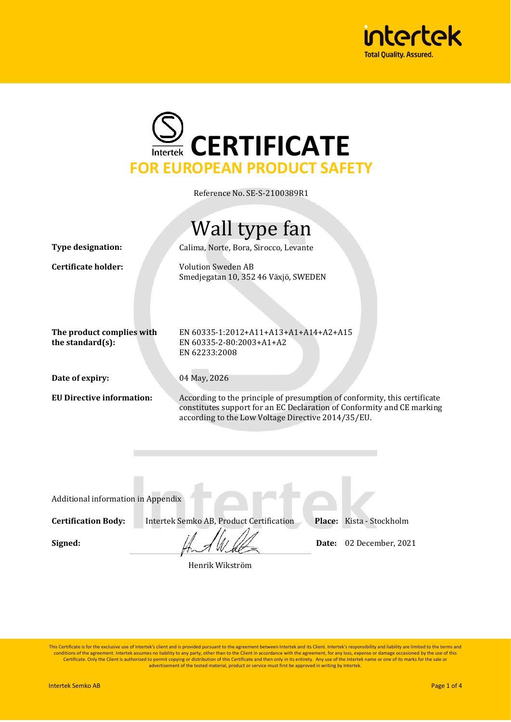



Reference No. SE-S-2100389R1

## Wall type fan

**Type designation:** Calima, Norte, Bora, Sirocco, Levante

**Certificate holder:** Volution Sweden AB Smedjegatan 10, 352 46 Växjö, SWEDEN

**The product complies with the standard(s):**

EN 60335-1:2012+A11+A13+A1+A14+A2+A15 EN 60335-2-80:2003+A1+A2 EN 62233:2008

**Date of expiry:** 04 May, 2026

**EU Directive information:** According to the principle of presumption of conformity, this certificate constitutes support for an EC Declaration of Conformity and CE marking according to the Low Voltage Directive 2014/35/EU.

Additional information in Appendix

**Certification Body:** Intertek Semko AB, Product Certification **Place:** Kista - Stockholm

**Signed:**  $\frac{1}{2}$   $\frac{1}{2}$   $\frac{1}{2}$   $\frac{1}{2}$  Date: 02 December, 2021

Henrik Wikström

This Certificate is for the exclusive use of Intertek's client and is provided pursuant to the agreement between Intertek and its Client. Intertek's responsibility and liability are limited to the terms and conditions of the agreement. Intertek assumes no liability to any party, other than to the Client in accordance with the agreement, for any loss, expense or damage occasioned by the use of this<br>Certificate. Only the Client advertisement of the tested material, product or service must first be approved in writing by Intertek.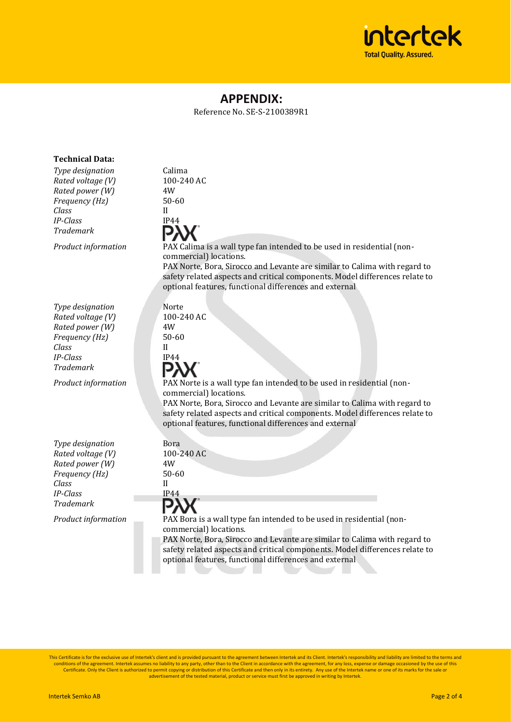

### **APPENDIX:**

Reference No. SE-S-2100389R1

| <b>Technical Data:</b>                                                                                                                            |                                                                                                                                                                                                                                                                                                                                                                                                                                               |
|---------------------------------------------------------------------------------------------------------------------------------------------------|-----------------------------------------------------------------------------------------------------------------------------------------------------------------------------------------------------------------------------------------------------------------------------------------------------------------------------------------------------------------------------------------------------------------------------------------------|
| Type designation<br>Rated voltage (V)<br>Rated power (W)<br>Frequency (Hz)<br>Class<br><b>IP-Class</b><br><b>Trademark</b><br>Product information | Calima<br>100-240 AC<br>4W<br>50-60<br>H<br>IP44<br>PAX Calima is a wall type fan intended to be used in residential (non-<br>commercial) locations.<br>PAX Norte, Bora, Sirocco and Levante are similar to Calima with regard to<br>safety related aspects and critical components. Model differences relate to                                                                                                                              |
| Type designation<br>Rated voltage (V)<br>Rated power (W)<br>Frequency (Hz)<br>Class<br><b>IP-Class</b><br><b>Trademark</b><br>Product information | optional features, functional differences and external<br>Norte<br>100-240 AC<br>4W<br>50-60<br>$\mathbf{H}$<br>IP44<br>PAX Norte is a wall type fan intended to be used in residential (non-<br>commercial) locations.<br>PAX Norte, Bora, Sirocco and Levante are similar to Calima with regard to<br>safety related aspects and critical components. Model differences relate to<br>optional features, functional differences and external |
| Type designation<br>Rated voltage (V)<br>Rated power (W)<br>Frequency (Hz)<br>Class<br><b>IP-Class</b><br><b>Trademark</b><br>Product information | Bora<br>100-240 AC<br>4W<br>50-60<br>H<br>IP44<br>PAX Bora is a wall type fan intended to be used in residential (non-<br>commercial) locations.<br>PAX Norte, Bora, Sirocco and Levante are similar to Calima with regard to<br>safety related aspects and critical components. Model differences relate to<br>optional features, functional differences and external                                                                        |

This Certificate is for the exclusive use of Intertek's client and is provided pursuant to the agreement between Intertek and its Client. Intertek's responsibility and liability are limited to the terms and<br>conditions of t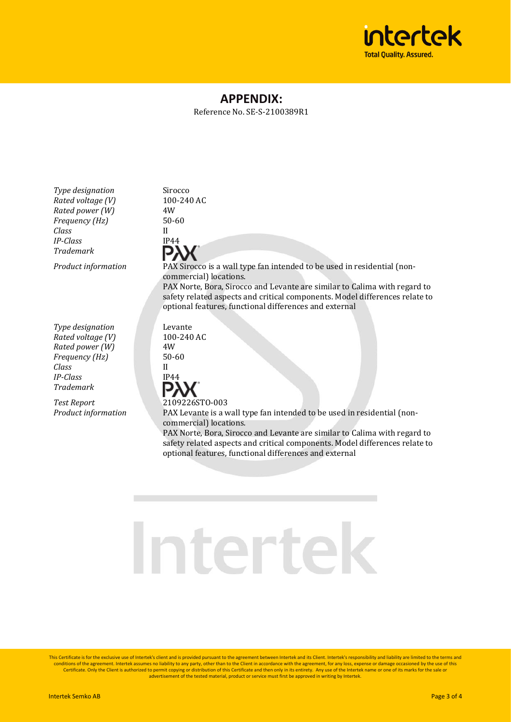

### **APPENDIX:**

Reference No. SE-S-2100389R1

*Type designation* Sirocco *Rated voltage (V)* 100-240 AC<br>*Rated nower (W)* 4W  $Rated power (W)$ *Frequency (Hz)* 50-60 *Class* II *IP-Class* IP44 *Trademark*

*Type designation* Levante *Rated voltage (V)* 100-240 AC *Rated power (W)* 4W *Frequency (Hz)* 50-60 *Class* II *IP-Class* IP44 *Trademark*

*Test Report* 2109226STO-003

*Product information* PAX Sirocco is a wall type fan intended to be used in residential (noncommercial) locations. PAX Norte, Bora, Sirocco and Levante are similar to Calima with regard to safety related aspects and critical components. Model differences relate to optional features, functional differences and external

*Product information* PAX Levante is a wall type fan intended to be used in residential (noncommercial) locations.

PAX Norte, Bora, Sirocco and Levante are similar to Calima with regard to safety related aspects and critical components. Model differences relate to optional features, functional differences and external

# Intertek

This Certificate is for the exclusive use of Intertek's client and is provided pursuant to the agreement between Intertek and its Client. Intertek's responsibility and liability are limited to the terms and conditions of the agreement. Intertek assumes no liability to any party, other than to the Client in accordance with the agreement, for any loss, expense or damage occasioned by the use of this Certificate. Only the Client is authorized to permit copying or distribution of this Certificate and then only in its entirety. Any use of the Intertek name or one of its marks for the sale or<br>advertisement of the tested m